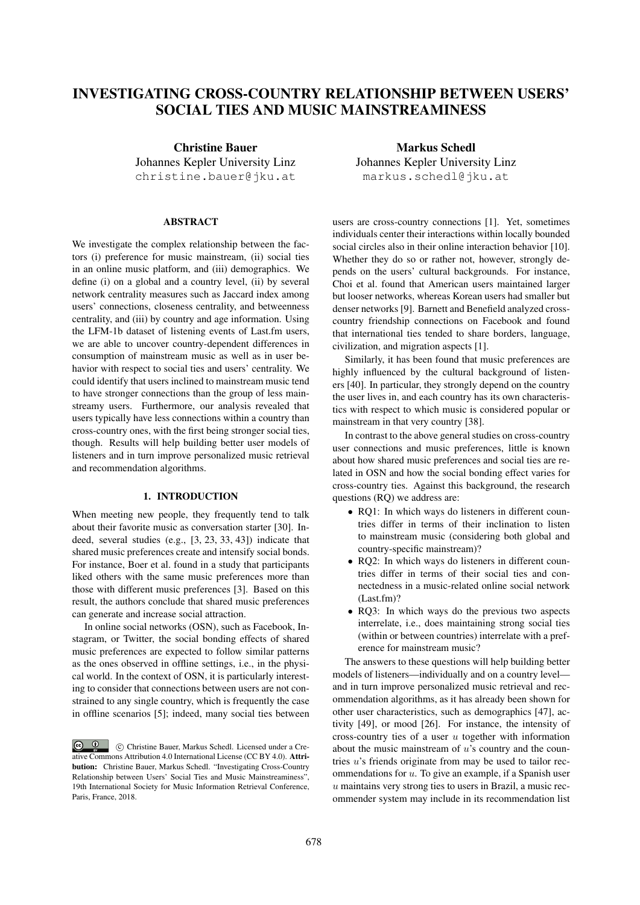# INVESTIGATING CROSS-COUNTRY RELATIONSHIP BETWEEN USERS' SOCIAL TIES AND MUSIC MAINSTREAMINESS

Christine Bauer Johannes Kepler University Linz christine.bauer@jku.at

# **ABSTRACT**

We investigate the complex relationship between the factors (i) preference for music mainstream, (ii) social ties in an online music platform, and (iii) demographics. We define (i) on a global and a country level, (ii) by several network centrality measures such as Jaccard index among users' connections, closeness centrality, and betweenness centrality, and (iii) by country and age information. Using the LFM-1b dataset of listening events of Last.fm users, we are able to uncover country-dependent differences in consumption of mainstream music as well as in user behavior with respect to social ties and users' centrality. We could identify that users inclined to mainstream music tend to have stronger connections than the group of less mainstreamy users. Furthermore, our analysis revealed that users typically have less connections within a country than cross-country ones, with the first being stronger social ties, though. Results will help building better user models of listeners and in turn improve personalized music retrieval and recommendation algorithms.

# 1. INTRODUCTION

When meeting new people, they frequently tend to talk about their favorite music as conversation starter [30]. Indeed, several studies (e.g., [3, 23, 33, 43]) indicate that shared music preferences create and intensify social bonds. For instance, Boer et al. found in a study that participants liked others with the same music preferences more than those with different music preferences [3]. Based on this result, the authors conclude that shared music preferences can generate and increase social attraction.

In online social networks (OSN), such as Facebook, Instagram, or Twitter, the social bonding effects of shared music preferences are expected to follow similar patterns as the ones observed in offline settings, i.e., in the physical world. In the context of OSN, it is particularly interesting to consider that connections between users are not constrained to any single country, which is frequently the case in offline scenarios [5]; indeed, many social ties between

Markus Schedl Johannes Kepler University Linz markus.schedl@jku.at

users are cross-country connections [1]. Yet, sometimes individuals center their interactions within locally bounded social circles also in their online interaction behavior [10]. Whether they do so or rather not, however, strongly depends on the users' cultural backgrounds. For instance, Choi et al. found that American users maintained larger but looser networks, whereas Korean users had smaller but denser networks [9]. Barnett and Benefield analyzed crosscountry friendship connections on Facebook and found that international ties tended to share borders, language, civilization, and migration aspects [1].

Similarly, it has been found that music preferences are highly influenced by the cultural background of listeners [40]. In particular, they strongly depend on the country the user lives in, and each country has its own characteristics with respect to which music is considered popular or mainstream in that very country [38].

In contrast to the above general studies on cross-country user connections and music preferences, little is known about how shared music preferences and social ties are related in OSN and how the social bonding effect varies for cross-country ties. Against this background, the research questions (RQ) we address are:

- RQ1: In which ways do listeners in different countries differ in terms of their inclination to listen to mainstream music (considering both global and country-specific mainstream)?
- RQ2: In which ways do listeners in different countries differ in terms of their social ties and connectedness in a music-related online social network (Last.fm)?
- RQ3: In which ways do the previous two aspects interrelate, i.e., does maintaining strong social ties (within or between countries) interrelate with a preference for mainstream music?

The answers to these questions will help building better models of listeners—individually and on a country level and in turn improve personalized music retrieval and recommendation algorithms, as it has already been shown for other user characteristics, such as demographics [47], activity [49], or mood [26]. For instance, the intensity of cross-country ties of a user  $u$  together with information about the music mainstream of  $u$ 's country and the countries u's friends originate from may be used to tailor recommendations for  $u$ . To give an example, if a Spanish user  $u$  maintains very strong ties to users in Brazil, a music recommender system may include in its recommendation list

 $\circ$   $\circ$  c Christine Bauer, Markus Schedl. Licensed under a Creative Commons Attribution 4.0 International License (CC BY 4.0). Attribution: Christine Bauer, Markus Schedl. "Investigating Cross-Country Relationship between Users' Social Ties and Music Mainstreaminess", 19th International Society for Music Information Retrieval Conference, Paris, France, 2018.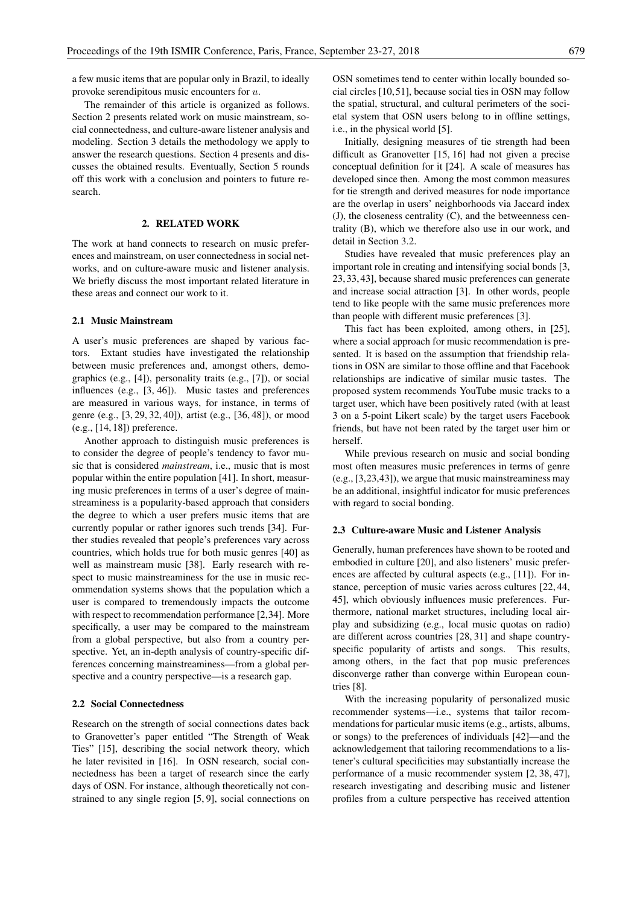a few music items that are popular only in Brazil, to ideally provoke serendipitous music encounters for u.

The remainder of this article is organized as follows. Section 2 presents related work on music mainstream, social connectedness, and culture-aware listener analysis and modeling. Section 3 details the methodology we apply to answer the research questions. Section 4 presents and discusses the obtained results. Eventually, Section 5 rounds off this work with a conclusion and pointers to future research.

#### 2. RELATED WORK

The work at hand connects to research on music preferences and mainstream, on user connectedness in social networks, and on culture-aware music and listener analysis. We briefly discuss the most important related literature in these areas and connect our work to it.

# 2.1 Music Mainstream

A user's music preferences are shaped by various factors. Extant studies have investigated the relationship between music preferences and, amongst others, demographics (e.g., [4]), personality traits (e.g., [7]), or social influences (e.g., [3, 46]). Music tastes and preferences are measured in various ways, for instance, in terms of genre (e.g., [3, 29, 32, 40]), artist (e.g., [36, 48]), or mood (e.g., [14, 18]) preference.

Another approach to distinguish music preferences is to consider the degree of people's tendency to favor music that is considered *mainstream*, i.e., music that is most popular within the entire population [41]. In short, measuring music preferences in terms of a user's degree of mainstreaminess is a popularity-based approach that considers the degree to which a user prefers music items that are currently popular or rather ignores such trends [34]. Further studies revealed that people's preferences vary across countries, which holds true for both music genres [40] as well as mainstream music [38]. Early research with respect to music mainstreaminess for the use in music recommendation systems shows that the population which a user is compared to tremendously impacts the outcome with respect to recommendation performance [2,34]. More specifically, a user may be compared to the mainstream from a global perspective, but also from a country perspective. Yet, an in-depth analysis of country-specific differences concerning mainstreaminess—from a global perspective and a country perspective—is a research gap.

# 2.2 Social Connectedness

Research on the strength of social connections dates back to Granovetter's paper entitled "The Strength of Weak Ties" [15], describing the social network theory, which he later revisited in [16]. In OSN research, social connectedness has been a target of research since the early days of OSN. For instance, although theoretically not constrained to any single region [5, 9], social connections on OSN sometimes tend to center within locally bounded social circles [10,51], because social ties in OSN may follow the spatial, structural, and cultural perimeters of the societal system that OSN users belong to in offline settings, i.e., in the physical world [5].

Initially, designing measures of tie strength had been difficult as Granovetter [15, 16] had not given a precise conceptual definition for it [24]. A scale of measures has developed since then. Among the most common measures for tie strength and derived measures for node importance are the overlap in users' neighborhoods via Jaccard index (J), the closeness centrality (C), and the betweenness centrality (B), which we therefore also use in our work, and detail in Section 3.2.

Studies have revealed that music preferences play an important role in creating and intensifying social bonds [3, 23, 33, 43], because shared music preferences can generate and increase social attraction [3]. In other words, people tend to like people with the same music preferences more than people with different music preferences [3].

This fact has been exploited, among others, in [25], where a social approach for music recommendation is presented. It is based on the assumption that friendship relations in OSN are similar to those offline and that Facebook relationships are indicative of similar music tastes. The proposed system recommends YouTube music tracks to a target user, which have been positively rated (with at least 3 on a 5-point Likert scale) by the target users Facebook friends, but have not been rated by the target user him or herself.

While previous research on music and social bonding most often measures music preferences in terms of genre (e.g., [3,23,43]), we argue that music mainstreaminess may be an additional, insightful indicator for music preferences with regard to social bonding.

#### 2.3 Culture-aware Music and Listener Analysis

Generally, human preferences have shown to be rooted and embodied in culture [20], and also listeners' music preferences are affected by cultural aspects (e.g., [11]). For instance, perception of music varies across cultures [22, 44, 45], which obviously influences music preferences. Furthermore, national market structures, including local airplay and subsidizing (e.g., local music quotas on radio) are different across countries [28, 31] and shape countryspecific popularity of artists and songs. This results, among others, in the fact that pop music preferences disconverge rather than converge within European countries [8].

With the increasing popularity of personalized music recommender systems—i.e., systems that tailor recommendations for particular music items (e.g., artists, albums, or songs) to the preferences of individuals [42]—and the acknowledgement that tailoring recommendations to a listener's cultural specificities may substantially increase the performance of a music recommender system [2, 38, 47], research investigating and describing music and listener profiles from a culture perspective has received attention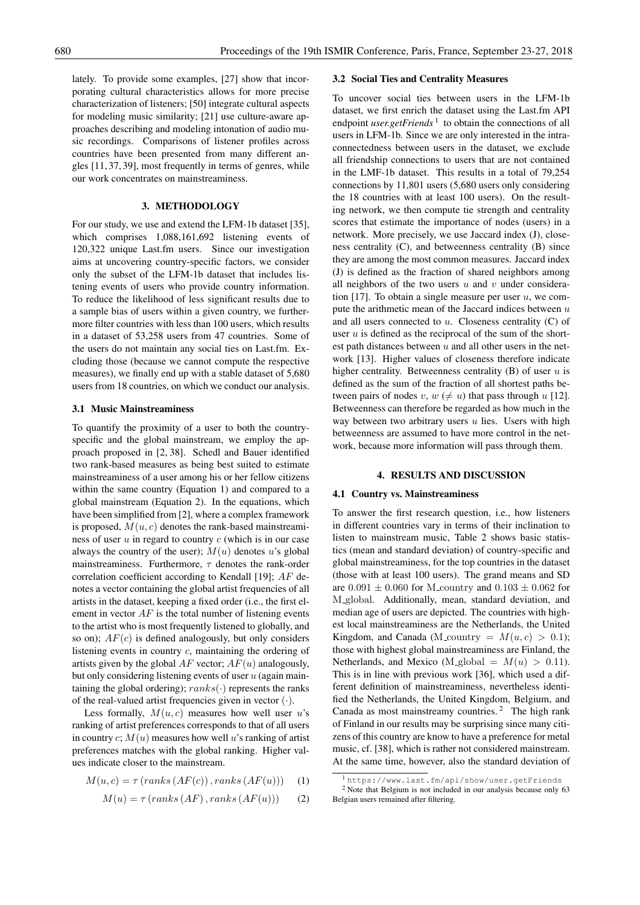lately. To provide some examples, [27] show that incorporating cultural characteristics allows for more precise characterization of listeners; [50] integrate cultural aspects for modeling music similarity; [21] use culture-aware approaches describing and modeling intonation of audio music recordings. Comparisons of listener profiles across countries have been presented from many different angles [11, 37, 39], most frequently in terms of genres, while our work concentrates on mainstreaminess.

# 3. METHODOLOGY

For our study, we use and extend the LFM-1b dataset [35], which comprises 1,088,161,692 listening events of 120,322 unique Last.fm users. Since our investigation aims at uncovering country-specific factors, we consider only the subset of the LFM-1b dataset that includes listening events of users who provide country information. To reduce the likelihood of less significant results due to a sample bias of users within a given country, we furthermore filter countries with less than 100 users, which results in a dataset of 53,258 users from 47 countries. Some of the users do not maintain any social ties on Last.fm. Excluding those (because we cannot compute the respective measures), we finally end up with a stable dataset of 5,680 users from 18 countries, on which we conduct our analysis.

#### 3.1 Music Mainstreaminess

To quantify the proximity of a user to both the countryspecific and the global mainstream, we employ the approach proposed in [2, 38]. Schedl and Bauer identified two rank-based measures as being best suited to estimate mainstreaminess of a user among his or her fellow citizens within the same country (Equation 1) and compared to a global mainstream (Equation 2). In the equations, which have been simplified from [2], where a complex framework is proposed,  $M(u, c)$  denotes the rank-based mainstreaminess of user  $u$  in regard to country  $c$  (which is in our case always the country of the user);  $M(u)$  denotes u's global mainstreaminess. Furthermore,  $\tau$  denotes the rank-order correlation coefficient according to Kendall [19]; AF denotes a vector containing the global artist frequencies of all artists in the dataset, keeping a fixed order (i.e., the first element in vector  $AF$  is the total number of listening events to the artist who is most frequently listened to globally, and so on);  $AF(c)$  is defined analogously, but only considers listening events in country c, maintaining the ordering of artists given by the global  $AF$  vector;  $AF(u)$  analogously, but only considering listening events of user  $u$  (again maintaining the global ordering);  $ranks(·)$  represents the ranks of the real-valued artist frequencies given in vector (·).

Less formally,  $M(u, c)$  measures how well user u's ranking of artist preferences corresponds to that of all users in country  $c; M(u)$  measures how well u's ranking of artist preferences matches with the global ranking. Higher values indicate closer to the mainstream.

$$
M(u, c) = \tau (ranks (AF(c)), ranks (AF(u))) \quad (1)
$$

$$
M(u) = \tau \left( \text{ranks} \left( AF \right), \text{ranks} \left( AF(u) \right) \right) \tag{2}
$$

#### 3.2 Social Ties and Centrality Measures

To uncover social ties between users in the LFM-1b dataset, we first enrich the dataset using the Last.fm API endpoint *user.getFriends*<sup>1</sup> to obtain the connections of all users in LFM-1b. Since we are only interested in the intraconnectedness between users in the dataset, we exclude all friendship connections to users that are not contained in the LMF-1b dataset. This results in a total of 79,254 connections by 11,801 users (5,680 users only considering the 18 countries with at least 100 users). On the resulting network, we then compute tie strength and centrality scores that estimate the importance of nodes (users) in a network. More precisely, we use Jaccard index (J), closeness centrality (C), and betweenness centrality (B) since they are among the most common measures. Jaccard index (J) is defined as the fraction of shared neighbors among all neighbors of the two users  $u$  and  $v$  under consideration  $[17]$ . To obtain a single measure per user u, we compute the arithmetic mean of the Jaccard indices between  $u$ and all users connected to  $u$ . Closeness centrality  $(C)$  of user  $u$  is defined as the reciprocal of the sum of the shortest path distances between  $u$  and all other users in the network [13]. Higher values of closeness therefore indicate higher centrality. Betweenness centrality  $(B)$  of user u is defined as the sum of the fraction of all shortest paths between pairs of nodes v,  $w \neq u$ ) that pass through u [12]. Betweenness can therefore be regarded as how much in the way between two arbitrary users  $u$  lies. Users with high betweenness are assumed to have more control in the network, because more information will pass through them.

# 4. RESULTS AND DISCUSSION

#### 4.1 Country vs. Mainstreaminess

To answer the first research question, i.e., how listeners in different countries vary in terms of their inclination to listen to mainstream music, Table 2 shows basic statistics (mean and standard deviation) of country-specific and global mainstreaminess, for the top countries in the dataset (those with at least 100 users). The grand means and SD are  $0.091 \pm 0.060$  for M\_country and  $0.103 \pm 0.062$  for M global. Additionally, mean, standard deviation, and median age of users are depicted. The countries with highest local mainstreaminess are the Netherlands, the United Kingdom, and Canada (M\_country =  $M(u, c) > 0.1$ ); those with highest global mainstreaminess are Finland, the Netherlands, and Mexico (M\_global =  $M(u) > 0.11$ ). This is in line with previous work [36], which used a different definition of mainstreaminess, nevertheless identified the Netherlands, the United Kingdom, Belgium, and Canada as most mainstreamy countries.<sup>2</sup> The high rank of Finland in our results may be surprising since many citizens of this country are know to have a preference for metal music, cf. [38], which is rather not considered mainstream. At the same time, however, also the standard deviation of

<sup>1</sup> https://www.last.fm/api/show/user.getFriends <sup>2</sup> Note that Belgium is not included in our analysis because only 63 Belgian users remained after filtering.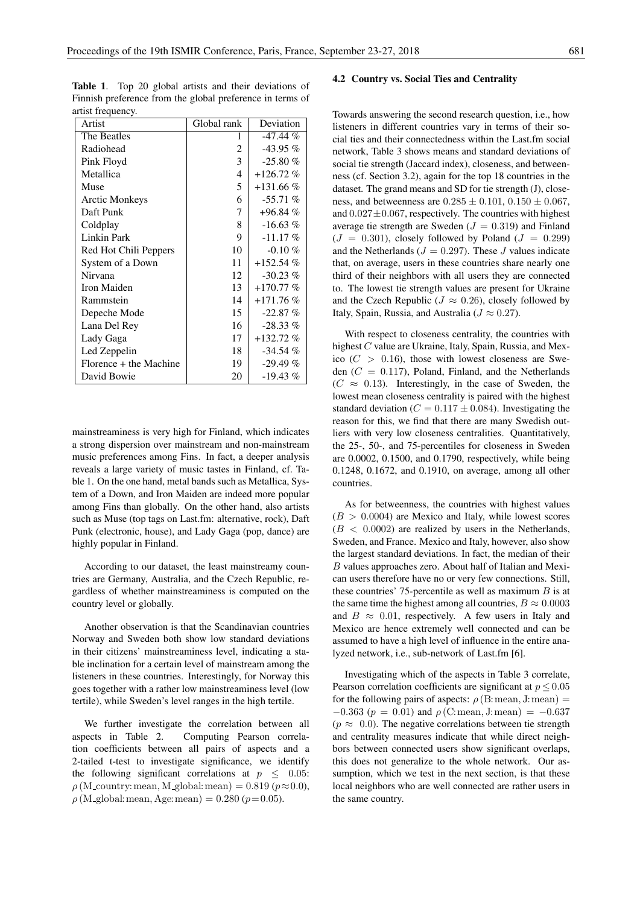| artist mequem y.       |             |             |
|------------------------|-------------|-------------|
| Artist                 | Global rank | Deviation   |
| The Beatles            | 1           | -47.44 %    |
| Radiohead              | 2           | $-43.95\%$  |
| Pink Floyd             | 3           | $-25.80\%$  |
| Metallica              | 4           | $+126.72%$  |
| Muse                   | 5           | $+131.66\%$ |
| <b>Arctic Monkeys</b>  | 6           | $-55.71%$   |
| Daft Punk              | 7           | $+96.84%$   |
| Coldplay               | 8           | $-16.63\%$  |
| Linkin Park            | 9           | $-11.17\%$  |
| Red Hot Chili Peppers  | 10          | $-0.10\%$   |
| System of a Down       | 11          | $+152.54%$  |
| Nirvana                | 12          | $-30.23\%$  |
| Iron Maiden            | 13          | $+170.77%$  |
| Rammstein              | 14          | $+171.76%$  |
| Depeche Mode           | 15          | $-22.87%$   |
| Lana Del Rey           | 16          | $-28.33\%$  |
| Lady Gaga              | 17          | $+132.72\%$ |
| Led Zeppelin           | 18          | $-34.54\%$  |
| Florence + the Machine | 19          | $-29.49%$   |
| David Bowie            | 20          | $-19.43\%$  |

Table 1. Top 20 global artists and their deviations of Finnish preference from the global preference in terms of artist frequency

mainstreaminess is very high for Finland, which indicates a strong dispersion over mainstream and non-mainstream music preferences among Fins. In fact, a deeper analysis reveals a large variety of music tastes in Finland, cf. Table 1. On the one hand, metal bands such as Metallica, System of a Down, and Iron Maiden are indeed more popular among Fins than globally. On the other hand, also artists such as Muse (top tags on Last.fm: alternative, rock), Daft Punk (electronic, house), and Lady Gaga (pop, dance) are highly popular in Finland.

According to our dataset, the least mainstreamy countries are Germany, Australia, and the Czech Republic, regardless of whether mainstreaminess is computed on the country level or globally.

Another observation is that the Scandinavian countries Norway and Sweden both show low standard deviations in their citizens' mainstreaminess level, indicating a stable inclination for a certain level of mainstream among the listeners in these countries. Interestingly, for Norway this goes together with a rather low mainstreaminess level (low tertile), while Sweden's level ranges in the high tertile.

We further investigate the correlation between all aspects in Table 2. Computing Pearson correlation coefficients between all pairs of aspects and a 2-tailed t-test to investigate significance, we identify the following significant correlations at  $p \leq 0.05$ :  $\rho$  (M\_country: mean, M\_global: mean) = 0.819 ( $p \approx 0.0$ ),  $\rho$  (M\_global: mean, Age: mean) = 0.280 ( $p=0.05$ ).

# 4.2 Country vs. Social Ties and Centrality

Towards answering the second research question, i.e., how listeners in different countries vary in terms of their social ties and their connectedness within the Last.fm social network, Table 3 shows means and standard deviations of social tie strength (Jaccard index), closeness, and betweenness (cf. Section 3.2), again for the top 18 countries in the dataset. The grand means and SD for tie strength (J), closeness, and betweenness are  $0.285 \pm 0.101$ ,  $0.150 \pm 0.067$ , and  $0.027 \pm 0.067$ , respectively. The countries with highest average tie strength are Sweden ( $J = 0.319$ ) and Finland  $(J = 0.301)$ , closely followed by Poland  $(J = 0.299)$ and the Netherlands ( $J = 0.297$ ). These J values indicate that, on average, users in these countries share nearly one third of their neighbors with all users they are connected to. The lowest tie strength values are present for Ukraine and the Czech Republic ( $J \approx 0.26$ ), closely followed by Italy, Spain, Russia, and Australia ( $J \approx 0.27$ ).

With respect to closeness centrality, the countries with highest C value are Ukraine, Italy, Spain, Russia, and Mexico  $(C > 0.16)$ , those with lowest closeness are Sweden  $(C = 0.117)$ , Poland, Finland, and the Netherlands  $(C \approx 0.13)$ . Interestingly, in the case of Sweden, the lowest mean closeness centrality is paired with the highest standard deviation ( $C = 0.117 \pm 0.084$ ). Investigating the reason for this, we find that there are many Swedish outliers with very low closeness centralities. Quantitatively, the 25-, 50-, and 75-percentiles for closeness in Sweden are 0.0002, 0.1500, and 0.1790, respectively, while being 0.1248, 0.1672, and 0.1910, on average, among all other countries.

As for betweenness, the countries with highest values  $(B > 0.0004)$  are Mexico and Italy, while lowest scores  $(B < 0.0002)$  are realized by users in the Netherlands, Sweden, and France. Mexico and Italy, however, also show the largest standard deviations. In fact, the median of their B values approaches zero. About half of Italian and Mexican users therefore have no or very few connections. Still, these countries' 75-percentile as well as maximum  $B$  is at the same time the highest among all countries,  $B \approx 0.0003$ and  $B \approx 0.01$ , respectively. A few users in Italy and Mexico are hence extremely well connected and can be assumed to have a high level of influence in the entire analyzed network, i.e., sub-network of Last.fm [6].

Investigating which of the aspects in Table 3 correlate, Pearson correlation coefficients are significant at  $p \leq 0.05$ for the following pairs of aspects:  $\rho$  (B: mean, J: mean) =  $-0.363$  ( $p = 0.01$ ) and  $\rho$  (C: mean, J: mean) = -0.637  $(p \approx 0.0)$ . The negative correlations between tie strength and centrality measures indicate that while direct neighbors between connected users show significant overlaps, this does not generalize to the whole network. Our assumption, which we test in the next section, is that these local neighbors who are well connected are rather users in the same country.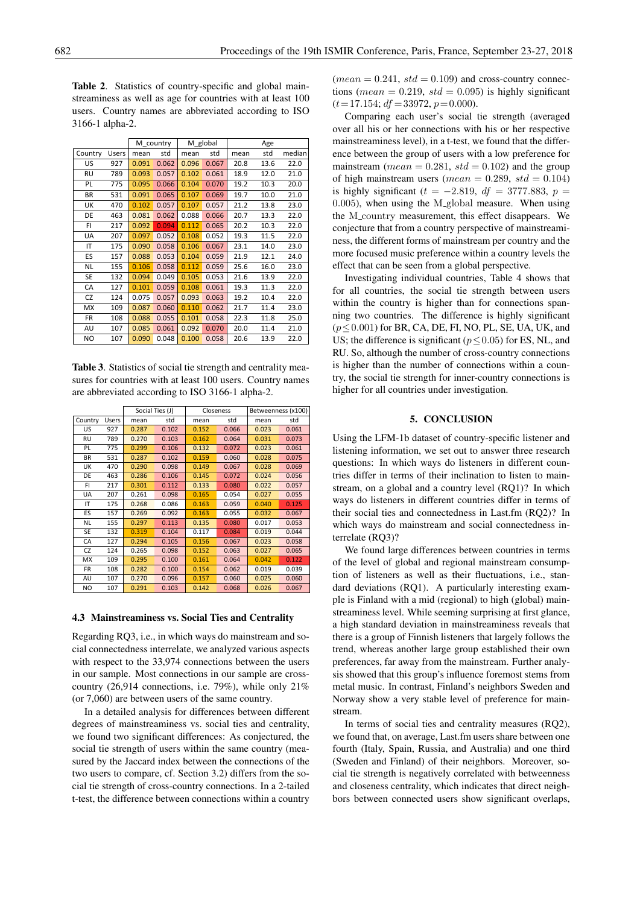Table 2. Statistics of country-specific and global mainstreaminess as well as age for countries with at least 100 users. Country names are abbreviated according to ISO 3166-1 alpha-2.

|           |              | M country |       | M global |       | Age  |      |        |
|-----------|--------------|-----------|-------|----------|-------|------|------|--------|
| Country   | <b>Users</b> | mean      | std   | mean     | std   | mean | std  | median |
| US        | 927          | 0.091     | 0.062 | 0.096    | 0.067 | 20.8 | 13.6 | 22.0   |
| RU        | 789          | 0.093     | 0.057 | 0.102    | 0.061 | 18.9 | 12.0 | 21.0   |
| PL        | 775          | 0.095     | 0.066 | 0.104    | 0.070 | 19.2 | 10.3 | 20.0   |
| <b>BR</b> | 531          | 0.091     | 0.065 | 0.107    | 0.069 | 19.7 | 10.0 | 21.0   |
| UK        | 470          | 0.102     | 0.057 | 0.107    | 0.057 | 21.2 | 13.8 | 23.0   |
| DE        | 463          | 0.081     | 0.062 | 0.088    | 0.066 | 20.7 | 13.3 | 22.0   |
| FI.       | 217          | 0.092     | 0.094 | 0.112    | 0.065 | 20.2 | 10.3 | 22.0   |
| UA        | 207          | 0.097     | 0.052 | 0.108    | 0.052 | 19.3 | 11.5 | 22.0   |
| IT        | 175          | 0.090     | 0.058 | 0.106    | 0.067 | 23.1 | 14.0 | 23.0   |
| ES        | 157          | 0.088     | 0.053 | 0.104    | 0.059 | 21.9 | 12.1 | 24.0   |
| NL        | 155          | 0.106     | 0.058 | 0.112    | 0.059 | 25.6 | 16.0 | 23.0   |
| <b>SE</b> | 132          | 0.094     | 0.049 | 0.105    | 0.053 | 21.6 | 13.9 | 22.0   |
| CA        | 127          | 0.101     | 0.059 | 0.108    | 0.061 | 19.3 | 11.3 | 22.0   |
| CZ        | 124          | 0.075     | 0.057 | 0.093    | 0.063 | 19.2 | 10.4 | 22.0   |
| <b>MX</b> | 109          | 0.087     | 0.060 | 0.110    | 0.062 | 21.7 | 11.4 | 23.0   |
| <b>FR</b> | 108          | 0.088     | 0.055 | 0.101    | 0.058 | 22.3 | 11.8 | 25.0   |
| AU        | 107          | 0.085     | 0.061 | 0.092    | 0.070 | 20.0 | 11.4 | 21.0   |
| NO        | 107          | 0.090     | 0.048 | 0.100    | 0.058 | 20.6 | 13.9 | 22.0   |

Table 3. Statistics of social tie strength and centrality measures for countries with at least 100 users. Country names are abbreviated according to ISO 3166-1 alpha-2.

|         |              | Social Ties (J) |       | Closeness |       | Betweenness (x100) |       |
|---------|--------------|-----------------|-------|-----------|-------|--------------------|-------|
| Country | <b>Users</b> | mean            | std   | mean      | std   | mean               | std   |
| US      | 927          | 0.287           | 0.102 | 0.152     | 0.066 | 0.023              | 0.061 |
| RU      | 789          | 0.270           | 0.103 | 0.162     | 0.064 | 0.031              | 0.073 |
| PL      | 775          | 0.299           | 0.106 | 0.132     | 0.072 | 0.023              | 0.061 |
| BR      | 531          | 0.287           | 0.102 | 0.159     | 0.060 | 0.028              | 0.075 |
| UK      | 470          | 0.290           | 0.098 | 0.149     | 0.067 | 0.028              | 0.069 |
| DE      | 463          | 0.286           | 0.106 | 0.145     | 0.072 | 0.024              | 0.056 |
| FI      | 217          | 0.301           | 0.112 | 0.133     | 0.080 | 0.022              | 0.057 |
| UA      | 207          | 0.261           | 0.098 | 0.165     | 0.054 | 0.027              | 0.055 |
| ΙT      | 175          | 0.268           | 0.086 | 0.163     | 0.059 | 0.040              | 0.125 |
| ES      | 157          | 0.269           | 0.092 | 0.163     | 0.055 | 0.032              | 0.067 |
| NL      | 155          | 0.297           | 0.113 | 0.135     | 0.080 | 0.017              | 0.053 |
| SE      | 132          | 0.319           | 0.104 | 0.117     | 0.084 | 0.019              | 0.044 |
| CA      | 127          | 0.294           | 0.105 | 0.156     | 0.067 | 0.023              | 0.058 |
| CZ      | 124          | 0.265           | 0.098 | 0.152     | 0.063 | 0.027              | 0.065 |
| МX      | 109          | 0.295           | 0.100 | 0.161     | 0.064 | 0.042              | 0.122 |
| FR      | 108          | 0.282           | 0.100 | 0.154     | 0.062 | 0.019              | 0.039 |
| AU      | 107          | 0.270           | 0.096 | 0.157     | 0.060 | 0.025              | 0.060 |
| NO      | 107          | 0.291           | 0.103 | 0.142     | 0.068 | 0.026              | 0.067 |

#### 4.3 Mainstreaminess vs. Social Ties and Centrality

Regarding RQ3, i.e., in which ways do mainstream and social connectedness interrelate, we analyzed various aspects with respect to the 33,974 connections between the users in our sample. Most connections in our sample are crosscountry (26,914 connections, i.e. 79%), while only 21% (or 7,060) are between users of the same country.

In a detailed analysis for differences between different degrees of mainstreaminess vs. social ties and centrality, we found two significant differences: As conjectured, the social tie strength of users within the same country (measured by the Jaccard index between the connections of the two users to compare, cf. Section 3.2) differs from the social tie strength of cross-country connections. In a 2-tailed t-test, the difference between connections within a country  $mean = 0.241$ ,  $std = 0.109$  and cross-country connections (*mean* = 0.219,  $std = 0.095$ ) is highly significant  $(t= 17.154; df = 33972, p= 0.000).$ 

Comparing each user's social tie strength (averaged over all his or her connections with his or her respective mainstreaminess level), in a t-test, we found that the difference between the group of users with a low preference for mainstream ( $mean = 0.281$ ,  $std = 0.102$ ) and the group of high mainstream users ( $mean = 0.289$ ,  $std = 0.104$ ) is highly significant ( $t = -2.819$ ,  $df = 3777.883$ ,  $p =$ 0.005), when using the M<sub>-global</sub> measure. When using the M<sub>-country</sub> measurement, this effect disappears. We conjecture that from a country perspective of mainstreaminess, the different forms of mainstream per country and the more focused music preference within a country levels the effect that can be seen from a global perspective.

Investigating individual countries, Table 4 shows that for all countries, the social tie strength between users within the country is higher than for connections spanning two countries. The difference is highly significant  $(p \le 0.001)$  for BR, CA, DE, FI, NO, PL, SE, UA, UK, and US; the difference is significant ( $p \le 0.05$ ) for ES, NL, and RU. So, although the number of cross-country connections is higher than the number of connections within a country, the social tie strength for inner-country connections is higher for all countries under investigation.

#### 5. CONCLUSION

Using the LFM-1b dataset of country-specific listener and listening information, we set out to answer three research questions: In which ways do listeners in different countries differ in terms of their inclination to listen to mainstream, on a global and a country level (RQ1)? In which ways do listeners in different countries differ in terms of their social ties and connectedness in Last.fm (RQ2)? In which ways do mainstream and social connectedness interrelate (RO3)?

We found large differences between countries in terms of the level of global and regional mainstream consumption of listeners as well as their fluctuations, i.e., standard deviations (RQ1). A particularly interesting example is Finland with a mid (regional) to high (global) mainstreaminess level. While seeming surprising at first glance, a high standard deviation in mainstreaminess reveals that there is a group of Finnish listeners that largely follows the trend, whereas another large group established their own preferences, far away from the mainstream. Further analysis showed that this group's influence foremost stems from metal music. In contrast, Finland's neighbors Sweden and Norway show a very stable level of preference for mainstream.

In terms of social ties and centrality measures (RQ2), we found that, on average, Last.fm users share between one fourth (Italy, Spain, Russia, and Australia) and one third (Sweden and Finland) of their neighbors. Moreover, social tie strength is negatively correlated with betweenness and closeness centrality, which indicates that direct neighbors between connected users show significant overlaps,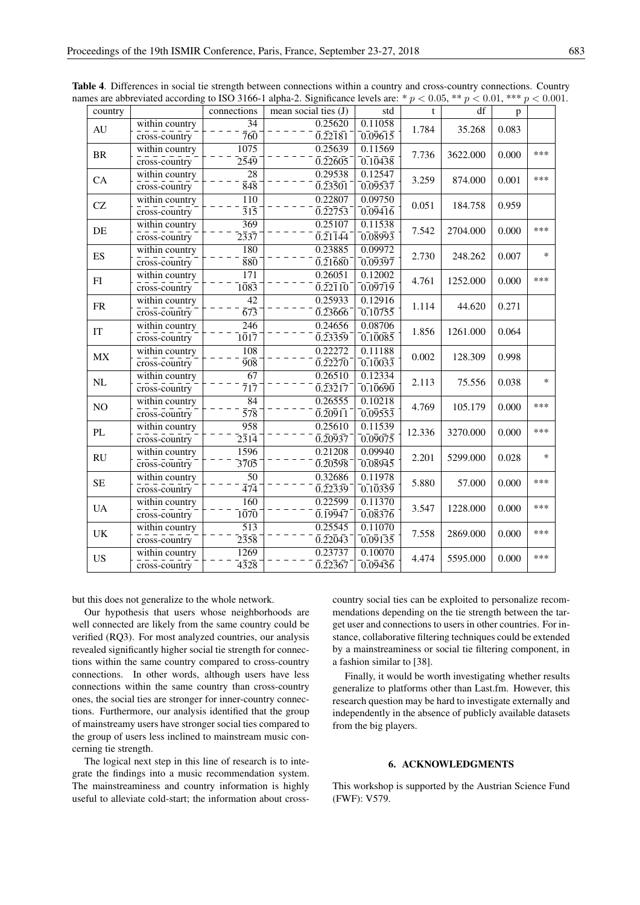| country                               |                | connections                            | mean social ties $(J)$                     | std                  | t      | df       | p     |        |
|---------------------------------------|----------------|----------------------------------------|--------------------------------------------|----------------------|--------|----------|-------|--------|
| within country<br>AU<br>cross-country | 34             | 0.25620                                | 0.11058                                    | 1.784                | 35.268 | 0.083    |       |        |
|                                       |                | $\bar{7}6\bar{0}$                      | $0.\overline{2}2\overline{1}8\overline{1}$ | $\overline{0.09615}$ |        |          |       |        |
| $\rm{BR}$                             | within country | 1075                                   | 0.25639                                    | 0.11569              | 7.736  | 3622.000 | 0.000 | ***    |
|                                       | cross-country  | $2\bar{5}4\bar{9}$                     | $0.\overline{2}2\overline{6}0\overline{5}$ | 0.10438              |        |          |       |        |
| CA                                    | within country | 28                                     | 0.29538                                    | 0.12547              | 3.259  | 874.000  | 0.001 | ***    |
|                                       | cross-country  | $\bar{8}4\bar{8}$                      | $0.\overline{2}3\overline{5}0\overline{1}$ | 0.09537              |        |          |       |        |
| CZ                                    | within country | 110                                    | 0.22807                                    | 0.09750              | 0.051  | 184.758  | 0.959 |        |
|                                       | cross-country  | $\overline{3}1\overline{5}$            | $0.\overline{2}2\overline{7}5\overline{3}$ | $\overline{0.09416}$ |        |          |       |        |
| DE                                    | within country | $\overline{369}$                       | 0.25107                                    | 0.11538              | 7.542  | 2704.000 | 0.000 | ***    |
|                                       | cross-country  | $2\bar{3}3\bar{7}$                     | $0.21\overline{1}4\overline{4}$            | 0.08993              |        |          |       |        |
| ES                                    | within country | 180                                    | 0.23885                                    | 0.09972              | 2.730  | 248.262  | 0.007 | $\ast$ |
|                                       | cross-country  | 880                                    | $0.\overline{2}1680$                       | $\overline{0.09397}$ |        |          |       |        |
| FI                                    | within country | $\overline{171}$                       | 0.26051                                    | 0.12002              | 4.761  | 1252.000 | 0.000 | ***    |
|                                       | cross-country  | $\bar{1}\bar{0}8\bar{3}$               | $0.\overline{2}2\overline{1}1\overline{0}$ | $\overline{0.09719}$ |        |          |       |        |
| <b>FR</b>                             | within country | 42                                     | 0.25933                                    | 0.12916              | 1.114  | 44.620   | 0.271 |        |
|                                       | cross-country  | $\overline{6}\overline{7}\overline{3}$ | 0.23666                                    | 0.10755              |        |          |       |        |
| IT                                    | within country | 246                                    | 0.24656                                    | 0.08706              | 1.856  | 1261.000 | 0.064 |        |
|                                       | cross-country  | $\overline{1017}$                      | $0.\overline{2}3\overline{3}5\overline{9}$ | $\overline{0.10085}$ |        |          |       |        |
| MX                                    | within country | 108                                    | 0.22272                                    | 0.11188              | 0.002  | 128.309  | 0.998 |        |
|                                       | cross-country  | $\overline{908}$                       | 0.22270                                    | 0.10033              |        |          |       |        |
| NL                                    | within country | $\overline{67}$                        | 0.26510                                    | 0.12334              | 2.113  | 75.556   | 0.038 | $\ast$ |
|                                       | cross-country  | $\overline{7}1\overline{7}$            | $0.\overline{2}3\overline{2}1\overline{7}$ | 0.10690              |        |          |       |        |
| NO                                    | within country | 84                                     | 0.26555                                    | 0.10218              | 4.769  | 105.179  | 0.000 | ***    |
|                                       | cross-country  | $\overline{5}\overline{78}$            | $0.\overline{2}0\overline{9}1\overline{1}$ | $\overline{0.09553}$ |        |          |       |        |
| PL                                    | within country | 958                                    | 0.25610                                    | 0.11539              | 12.336 | 3270.000 | 0.000 | ***    |
|                                       | cross-country  | $\overline{2314}$                      | 0.20937                                    | 0.09075              |        |          |       |        |
| RU                                    | within country | 1596                                   | 0.21208                                    | 0.09940              | 2.201  | 5299.000 | 0.028 | $\ast$ |
|                                       | cross-country  | $\bar{3}\bar{7}0\bar{5}$               | $0.\overline{2}0\overline{5}9\overline{8}$ | $\overline{0.08945}$ |        |          |       |        |
| <b>SE</b>                             | within country | 50                                     | 0.32686                                    | 0.11978              | 5.880  | 57.000   | 0.000 | ***    |
|                                       | cross-country  | $\bar{4}\bar{7}\bar{4}$                | $0.\overline{2}2\overline{3}3\overline{9}$ | $\overline{0.10359}$ |        |          |       |        |
| <b>UA</b>                             | within country | 160                                    | 0.22599                                    | 0.11370              | 3.547  | 1228.000 | 0.000 | ***    |
|                                       | cross-country  | 1070                                   | 0.19947                                    | 0.08376              |        |          |       |        |
| <b>UK</b>                             | within country | 513                                    | 0.25545                                    | 0.11070              | 7.558  | 2869.000 | 0.000 | ***    |
|                                       | cross-country  | $2\bar{3}5\bar{8}$                     | $0.\overline{2}2\overline{0}4\overline{3}$ | $\overline{0.09135}$ |        |          |       |        |
| <b>US</b>                             | within country | 1269                                   | 0.23737                                    | 0.10070              | 4.474  | 5595.000 | 0.000 | ***    |
|                                       | cross-country  | $4\bar{3}2\bar{8}$                     | $0.\overline{2}2\overline{3}6\overline{7}$ | 0.09456              |        |          |       |        |

Table 4. Differences in social tie strength between connections within a country and cross-country connections. Country names are abbreviated according to ISO 3166-1 alpha-2. Significance levels are: \*  $p < 0.05$ , \*\*  $p < 0.01$ , \*\*\*  $p < 0.001$ .

but this does not generalize to the whole network.

Our hypothesis that users whose neighborhoods are well connected are likely from the same country could be verified (RQ3). For most analyzed countries, our analysis revealed significantly higher social tie strength for connections within the same country compared to cross-country connections. In other words, although users have less connections within the same country than cross-country ones, the social ties are stronger for inner-country connections. Furthermore, our analysis identified that the group of mainstreamy users have stronger social ties compared to the group of users less inclined to mainstream music concerning tie strength.

The logical next step in this line of research is to integrate the findings into a music recommendation system. The mainstreaminess and country information is highly useful to alleviate cold-start; the information about cross-

country social ties can be exploited to personalize recommendations depending on the tie strength between the target user and connections to users in other countries. For instance, collaborative filtering techniques could be extended by a mainstreaminess or social tie filtering component, in a fashion similar to [38].

Finally, it would be worth investigating whether results generalize to platforms other than Last.fm. However, this research question may be hard to investigate externally and independently in the absence of publicly available datasets from the big players.

# 6. ACKNOWLEDGMENTS

This workshop is supported by the Austrian Science Fund (FWF): V579.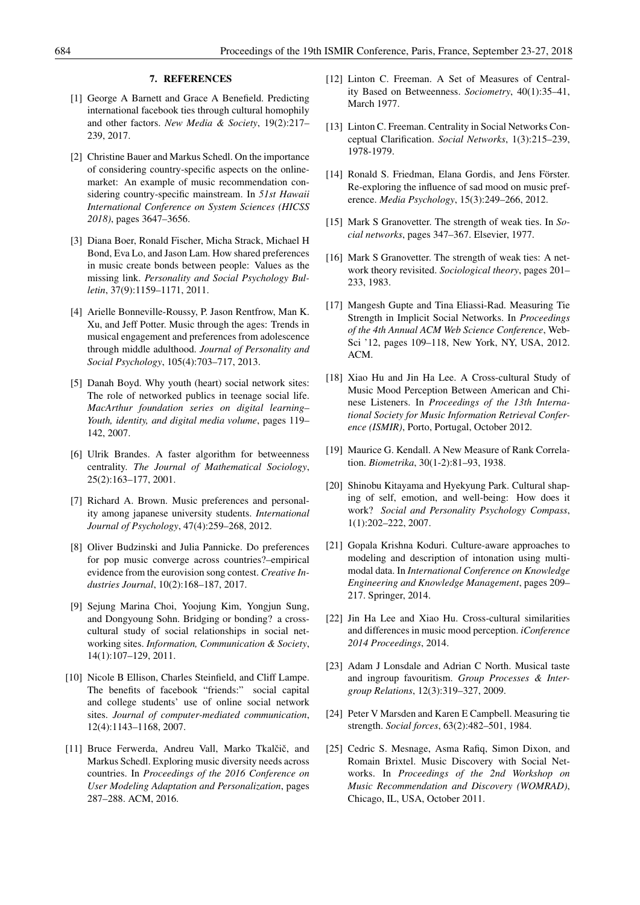# 7. REFERENCES

- [1] George A Barnett and Grace A Benefield. Predicting international facebook ties through cultural homophily and other factors. *New Media & Society*, 19(2):217– 239, 2017.
- [2] Christine Bauer and Markus Schedl. On the importance of considering country-specific aspects on the onlinemarket: An example of music recommendation considering country-specific mainstream. In *51st Hawaii International Conference on System Sciences (HICSS 2018)*, pages 3647–3656.
- [3] Diana Boer, Ronald Fischer, Micha Strack, Michael H Bond, Eva Lo, and Jason Lam. How shared preferences in music create bonds between people: Values as the missing link. *Personality and Social Psychology Bulletin*, 37(9):1159–1171, 2011.
- [4] Arielle Bonneville-Roussy, P. Jason Rentfrow, Man K. Xu, and Jeff Potter. Music through the ages: Trends in musical engagement and preferences from adolescence through middle adulthood. *Journal of Personality and Social Psychology*, 105(4):703–717, 2013.
- [5] Danah Boyd. Why youth (heart) social network sites: The role of networked publics in teenage social life. *MacArthur foundation series on digital learning– Youth, identity, and digital media volume*, pages 119– 142, 2007.
- [6] Ulrik Brandes. A faster algorithm for betweenness centrality. *The Journal of Mathematical Sociology*, 25(2):163–177, 2001.
- [7] Richard A. Brown. Music preferences and personality among japanese university students. *International Journal of Psychology*, 47(4):259–268, 2012.
- [8] Oliver Budzinski and Julia Pannicke. Do preferences for pop music converge across countries?–empirical evidence from the eurovision song contest. *Creative Industries Journal*, 10(2):168–187, 2017.
- [9] Sejung Marina Choi, Yoojung Kim, Yongjun Sung, and Dongyoung Sohn. Bridging or bonding? a crosscultural study of social relationships in social networking sites. *Information, Communication & Society*, 14(1):107–129, 2011.
- [10] Nicole B Ellison, Charles Steinfield, and Cliff Lampe. The benefits of facebook "friends:" social capital and college students' use of online social network sites. *Journal of computer-mediated communication*, 12(4):1143–1168, 2007.
- [11] Bruce Ferwerda, Andreu Vall, Marko Tkalčič, and Markus Schedl. Exploring music diversity needs across countries. In *Proceedings of the 2016 Conference on User Modeling Adaptation and Personalization*, pages 287–288. ACM, 2016.
- [12] Linton C. Freeman. A Set of Measures of Centrality Based on Betweenness. *Sociometry*, 40(1):35–41, March 1977.
- [13] Linton C. Freeman. Centrality in Social Networks Conceptual Clarification. *Social Networks*, 1(3):215–239, 1978-1979.
- [14] Ronald S. Friedman, Elana Gordis, and Jens Förster. Re-exploring the influence of sad mood on music preference. *Media Psychology*, 15(3):249–266, 2012.
- [15] Mark S Granovetter. The strength of weak ties. In *Social networks*, pages 347–367. Elsevier, 1977.
- [16] Mark S Granovetter. The strength of weak ties: A network theory revisited. *Sociological theory*, pages 201– 233, 1983.
- [17] Mangesh Gupte and Tina Eliassi-Rad. Measuring Tie Strength in Implicit Social Networks. In *Proceedings of the 4th Annual ACM Web Science Conference*, Web-Sci '12, pages 109–118, New York, NY, USA, 2012. ACM.
- [18] Xiao Hu and Jin Ha Lee. A Cross-cultural Study of Music Mood Perception Between American and Chinese Listeners. In *Proceedings of the 13th International Society for Music Information Retrieval Conference (ISMIR)*, Porto, Portugal, October 2012.
- [19] Maurice G. Kendall. A New Measure of Rank Correlation. *Biometrika*, 30(1-2):81–93, 1938.
- [20] Shinobu Kitayama and Hyekyung Park. Cultural shaping of self, emotion, and well-being: How does it work? *Social and Personality Psychology Compass*, 1(1):202–222, 2007.
- [21] Gopala Krishna Koduri. Culture-aware approaches to modeling and description of intonation using multimodal data. In *International Conference on Knowledge Engineering and Knowledge Management*, pages 209– 217. Springer, 2014.
- [22] Jin Ha Lee and Xiao Hu. Cross-cultural similarities and differences in music mood perception. *iConference 2014 Proceedings*, 2014.
- [23] Adam J Lonsdale and Adrian C North. Musical taste and ingroup favouritism. *Group Processes & Intergroup Relations*, 12(3):319–327, 2009.
- [24] Peter V Marsden and Karen E Campbell. Measuring tie strength. *Social forces*, 63(2):482–501, 1984.
- [25] Cedric S. Mesnage, Asma Rafiq, Simon Dixon, and Romain Brixtel. Music Discovery with Social Networks. In *Proceedings of the 2nd Workshop on Music Recommendation and Discovery (WOMRAD)*, Chicago, IL, USA, October 2011.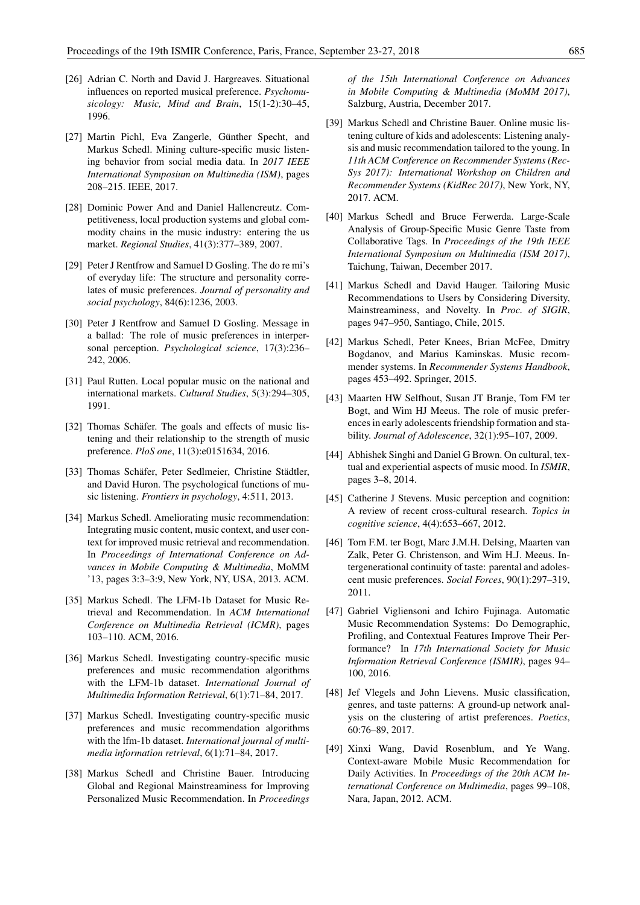- [26] Adrian C. North and David J. Hargreaves. Situational influences on reported musical preference. *Psychomusicology: Music, Mind and Brain*, 15(1-2):30–45, 1996.
- [27] Martin Pichl, Eva Zangerle, Günther Specht, and Markus Schedl. Mining culture-specific music listening behavior from social media data. In *2017 IEEE International Symposium on Multimedia (ISM)*, pages 208–215. IEEE, 2017.
- [28] Dominic Power And and Daniel Hallencreutz. Competitiveness, local production systems and global commodity chains in the music industry: entering the us market. *Regional Studies*, 41(3):377–389, 2007.
- [29] Peter J Rentfrow and Samuel D Gosling. The do re mi's of everyday life: The structure and personality correlates of music preferences. *Journal of personality and social psychology*, 84(6):1236, 2003.
- [30] Peter J Rentfrow and Samuel D Gosling. Message in a ballad: The role of music preferences in interpersonal perception. *Psychological science*, 17(3):236– 242, 2006.
- [31] Paul Rutten. Local popular music on the national and international markets. *Cultural Studies*, 5(3):294–305, 1991.
- [32] Thomas Schäfer. The goals and effects of music listening and their relationship to the strength of music preference. *PloS one*, 11(3):e0151634, 2016.
- [33] Thomas Schäfer, Peter Sedlmeier, Christine Städtler, and David Huron. The psychological functions of music listening. *Frontiers in psychology*, 4:511, 2013.
- [34] Markus Schedl. Ameliorating music recommendation: Integrating music content, music context, and user context for improved music retrieval and recommendation. In *Proceedings of International Conference on Advances in Mobile Computing & Multimedia*, MoMM '13, pages 3:3–3:9, New York, NY, USA, 2013. ACM.
- [35] Markus Schedl. The LFM-1b Dataset for Music Retrieval and Recommendation. In *ACM International Conference on Multimedia Retrieval (ICMR)*, pages 103–110. ACM, 2016.
- [36] Markus Schedl. Investigating country-specific music preferences and music recommendation algorithms with the LFM-1b dataset. *International Journal of Multimedia Information Retrieval*, 6(1):71–84, 2017.
- [37] Markus Schedl. Investigating country-specific music preferences and music recommendation algorithms with the lfm-1b dataset. *International journal of multimedia information retrieval*, 6(1):71–84, 2017.
- [38] Markus Schedl and Christine Bauer. Introducing Global and Regional Mainstreaminess for Improving Personalized Music Recommendation. In *Proceedings*

*of the 15th International Conference on Advances in Mobile Computing & Multimedia (MoMM 2017)*, Salzburg, Austria, December 2017.

- [39] Markus Schedl and Christine Bauer. Online music listening culture of kids and adolescents: Listening analysis and music recommendation tailored to the young. In *11th ACM Conference on Recommender Systems (Rec-Sys 2017): International Workshop on Children and Recommender Systems (KidRec 2017)*, New York, NY, 2017. ACM.
- [40] Markus Schedl and Bruce Ferwerda. Large-Scale Analysis of Group-Specific Music Genre Taste from Collaborative Tags. In *Proceedings of the 19th IEEE International Symposium on Multimedia (ISM 2017)*, Taichung, Taiwan, December 2017.
- [41] Markus Schedl and David Hauger. Tailoring Music Recommendations to Users by Considering Diversity, Mainstreaminess, and Novelty. In *Proc. of SIGIR*, pages 947–950, Santiago, Chile, 2015.
- [42] Markus Schedl, Peter Knees, Brian McFee, Dmitry Bogdanov, and Marius Kaminskas. Music recommender systems. In *Recommender Systems Handbook*, pages 453–492. Springer, 2015.
- [43] Maarten HW Selfhout, Susan JT Branie, Tom FM ter Bogt, and Wim HJ Meeus. The role of music preferences in early adolescents friendship formation and stability. *Journal of Adolescence*, 32(1):95–107, 2009.
- [44] Abhishek Singhi and Daniel G Brown. On cultural, textual and experiential aspects of music mood. In *ISMIR*, pages 3–8, 2014.
- [45] Catherine J Stevens. Music perception and cognition: A review of recent cross-cultural research. *Topics in cognitive science*, 4(4):653–667, 2012.
- [46] Tom F.M. ter Bogt, Marc J.M.H. Delsing, Maarten van Zalk, Peter G. Christenson, and Wim H.J. Meeus. Intergenerational continuity of taste: parental and adolescent music preferences. *Social Forces*, 90(1):297–319, 2011.
- [47] Gabriel Vigliensoni and Ichiro Fujinaga. Automatic Music Recommendation Systems: Do Demographic, Profiling, and Contextual Features Improve Their Performance? In *17th International Society for Music Information Retrieval Conference (ISMIR)*, pages 94– 100, 2016.
- [48] Jef Vlegels and John Lievens. Music classification, genres, and taste patterns: A ground-up network analysis on the clustering of artist preferences. *Poetics*, 60:76–89, 2017.
- [49] Xinxi Wang, David Rosenblum, and Ye Wang. Context-aware Mobile Music Recommendation for Daily Activities. In *Proceedings of the 20th ACM International Conference on Multimedia*, pages 99–108, Nara, Japan, 2012. ACM.